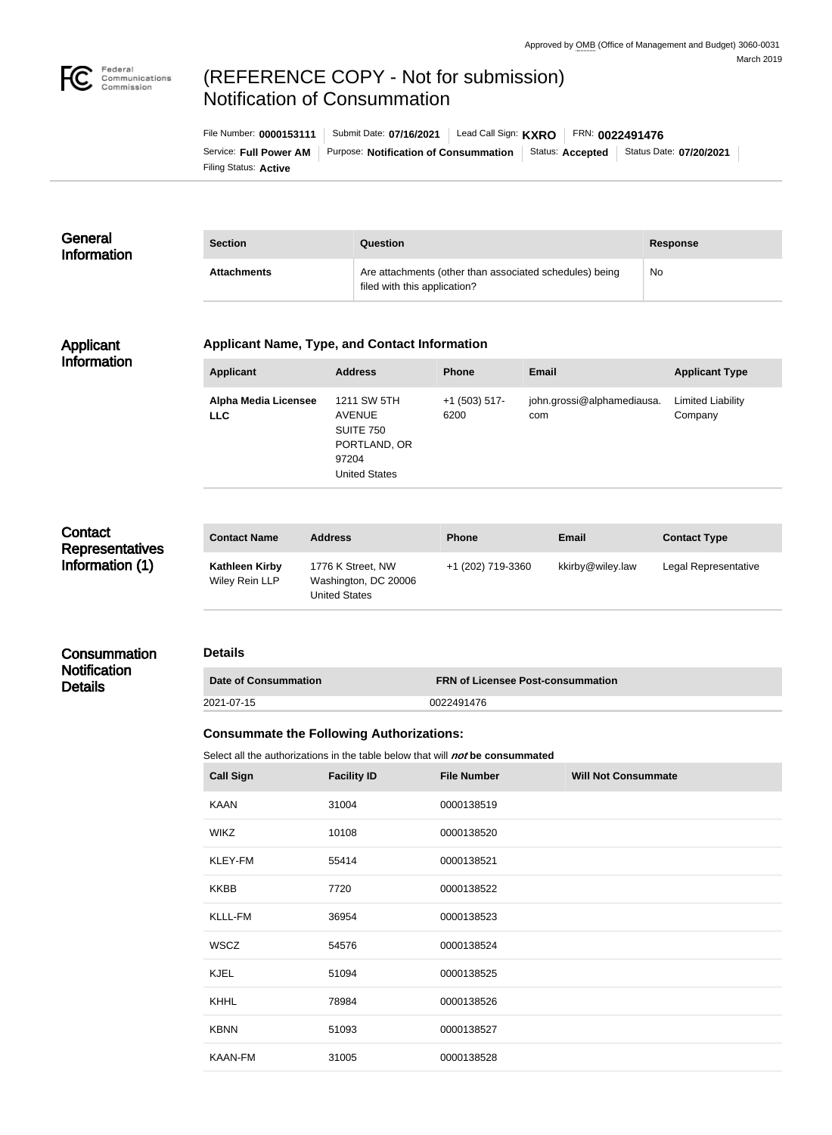

# (REFERENCE COPY - Not for submission) Notification of Consummation

Filing Status: **Active** Service: Full Power AM | Purpose: Notification of Consummation | Status: Accepted | Status Date: 07/20/2021 File Number: **0000153111** Submit Date: **07/16/2021** Lead Call Sign: **KXRO** FRN: **0022491476**

| General<br><b>Information</b> | <b>Section</b>     | Question                                                                                | <b>Response</b> |
|-------------------------------|--------------------|-----------------------------------------------------------------------------------------|-----------------|
|                               | <b>Attachments</b> | Are attachments (other than associated schedules) being<br>filed with this application? | <b>No</b>       |

## Applicant Information

### **Applicant Name, Type, and Contact Information**

| <b>Applicant</b>                          | <b>Address</b>                                                                             | <b>Phone</b>            | Email                             | <b>Applicant Type</b>               |
|-------------------------------------------|--------------------------------------------------------------------------------------------|-------------------------|-----------------------------------|-------------------------------------|
| <b>Alpha Media Licensee</b><br><b>LLC</b> | 1211 SW 5TH<br><b>AVENUE</b><br>SUITE 750<br>PORTLAND, OR<br>97204<br><b>United States</b> | $+1$ (503) 517-<br>6200 | john.grossi@alphamediausa.<br>com | <b>Limited Liability</b><br>Company |

## **Contact Representatives** Information (1)

**Consummation** 

**Notification Details** 

| <b>Contact Name</b>              | <b>Address</b>                                             | <b>Phone</b>      | <b>Email</b>     | <b>Contact Type</b>  |
|----------------------------------|------------------------------------------------------------|-------------------|------------------|----------------------|
| Kathleen Kirby<br>Wiley Rein LLP | 1776 K Street, NW<br>Washington, DC 20006<br>United States | +1 (202) 719-3360 | kkirby@wiley.law | Legal Representative |

## **Details**

| Date of Consummation | <b>FRN of Licensee Post-consummation</b> |  |
|----------------------|------------------------------------------|--|
| 2021-07-15           | 0022491476                               |  |

### **Consummate the Following Authorizations:**

Select all the authorizations in the table below that will **not** be consummated

| <b>Call Sign</b> | <b>Facility ID</b> | <b>File Number</b> | <b>Will Not Consummate</b> |
|------------------|--------------------|--------------------|----------------------------|
| <b>KAAN</b>      | 31004              | 0000138519         |                            |
| <b>WIKZ</b>      | 10108              | 0000138520         |                            |
| KLEY-FM          | 55414              | 0000138521         |                            |
| <b>KKBB</b>      | 7720               | 0000138522         |                            |
| <b>KLLL-FM</b>   | 36954              | 0000138523         |                            |
| <b>WSCZ</b>      | 54576              | 0000138524         |                            |
| <b>KJEL</b>      | 51094              | 0000138525         |                            |
| <b>KHHL</b>      | 78984              | 0000138526         |                            |
| <b>KBNN</b>      | 51093              | 0000138527         |                            |
| <b>KAAN-FM</b>   | 31005              | 0000138528         |                            |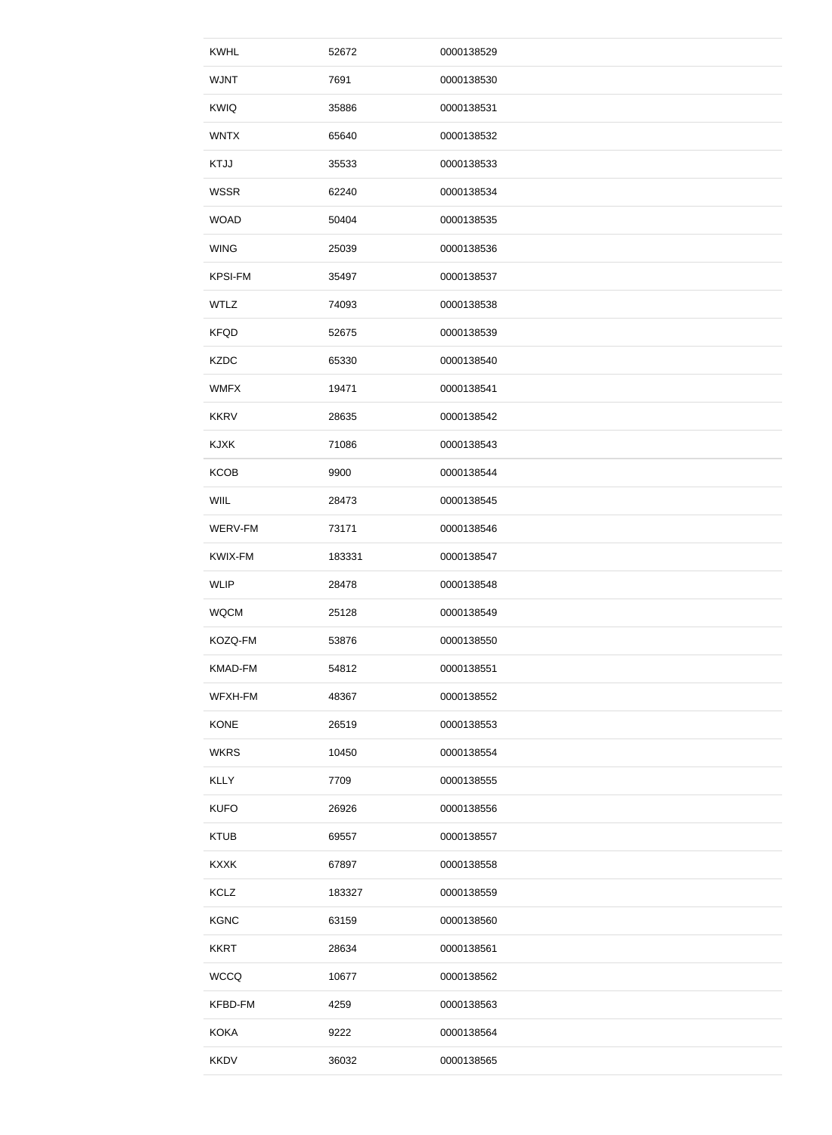| <b>KWHL</b>    | 52672  | 0000138529 |
|----------------|--------|------------|
| <b>WJNT</b>    | 7691   | 0000138530 |
| <b>KWIQ</b>    | 35886  | 0000138531 |
| <b>WNTX</b>    | 65640  | 0000138532 |
| KTJJ           | 35533  | 0000138533 |
| <b>WSSR</b>    | 62240  | 0000138534 |
| <b>WOAD</b>    | 50404  | 0000138535 |
| <b>WING</b>    | 25039  | 0000138536 |
| <b>KPSI-FM</b> | 35497  | 0000138537 |
| <b>WTLZ</b>    | 74093  | 0000138538 |
| <b>KFQD</b>    | 52675  | 0000138539 |
| <b>KZDC</b>    | 65330  | 0000138540 |
| <b>WMFX</b>    | 19471  | 0000138541 |
| <b>KKRV</b>    | 28635  | 0000138542 |
| <b>KJXK</b>    | 71086  | 0000138543 |
| <b>KCOB</b>    | 9900   | 0000138544 |
| WIIL           | 28473  | 0000138545 |
| WERV-FM        | 73171  | 0000138546 |
| KWIX-FM        | 183331 | 0000138547 |
| <b>WLIP</b>    | 28478  | 0000138548 |
| <b>WQCM</b>    | 25128  | 0000138549 |
| KOZQ-FM        | 53876  | 0000138550 |
| <b>KMAD-FM</b> | 54812  | 0000138551 |
| WFXH-FM        | 48367  | 0000138552 |
| <b>KONE</b>    | 26519  | 0000138553 |
| <b>WKRS</b>    | 10450  | 0000138554 |
| <b>KLLY</b>    | 7709   | 0000138555 |
| <b>KUFO</b>    | 26926  | 0000138556 |
| <b>KTUB</b>    | 69557  | 0000138557 |
| <b>KXXK</b>    | 67897  | 0000138558 |
| <b>KCLZ</b>    | 183327 | 0000138559 |
| <b>KGNC</b>    | 63159  | 0000138560 |
| <b>KKRT</b>    | 28634  | 0000138561 |
| <b>WCCQ</b>    | 10677  | 0000138562 |
| KFBD-FM        | 4259   | 0000138563 |
| <b>KOKA</b>    | 9222   | 0000138564 |
| <b>KKDV</b>    | 36032  | 0000138565 |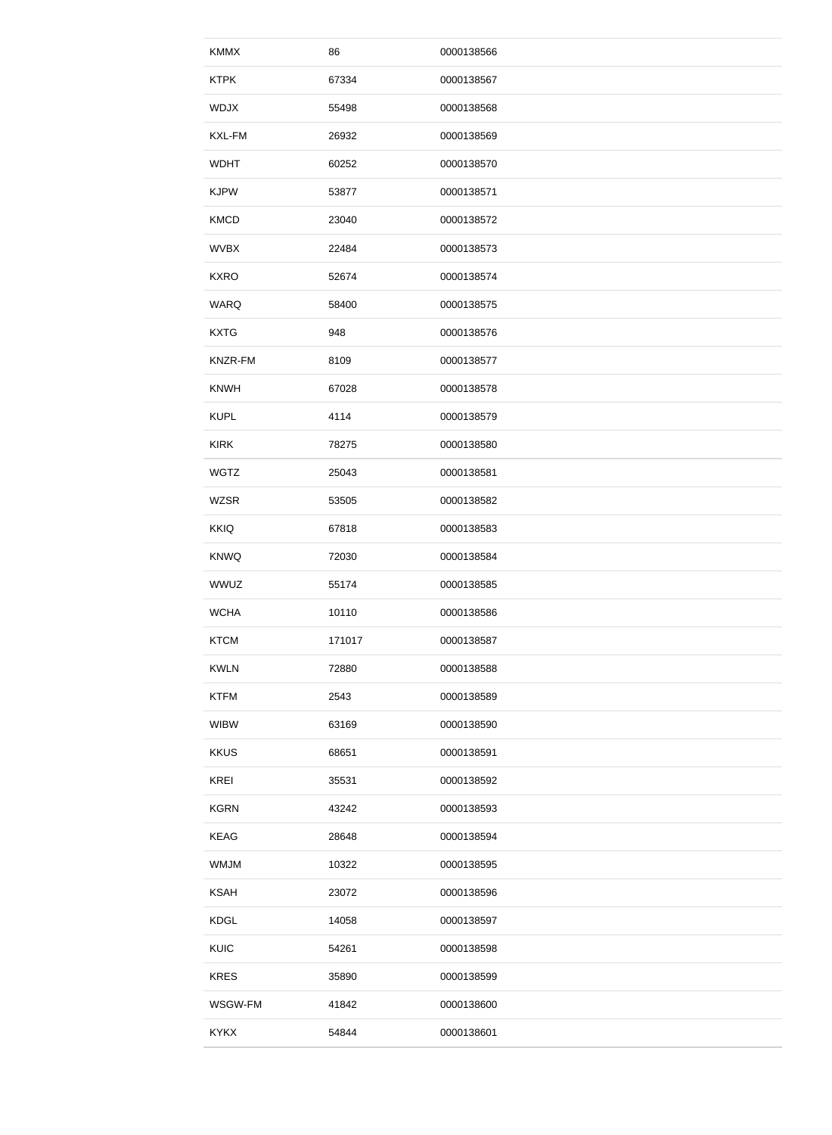| <b>KMMX</b>   | 86     | 0000138566 |
|---------------|--------|------------|
| <b>KTPK</b>   | 67334  | 0000138567 |
| <b>WDJX</b>   | 55498  | 0000138568 |
| <b>KXL-FM</b> | 26932  | 0000138569 |
| <b>WDHT</b>   | 60252  | 0000138570 |
| <b>KJPW</b>   | 53877  | 0000138571 |
| <b>KMCD</b>   | 23040  | 0000138572 |
| <b>WVBX</b>   | 22484  | 0000138573 |
| <b>KXRO</b>   | 52674  | 0000138574 |
| <b>WARQ</b>   | 58400  | 0000138575 |
| <b>KXTG</b>   | 948    | 0000138576 |
| KNZR-FM       | 8109   | 0000138577 |
| <b>KNWH</b>   | 67028  | 0000138578 |
| <b>KUPL</b>   | 4114   | 0000138579 |
| <b>KIRK</b>   | 78275  | 0000138580 |
| <b>WGTZ</b>   | 25043  | 0000138581 |
| <b>WZSR</b>   | 53505  | 0000138582 |
| <b>KKIQ</b>   | 67818  | 0000138583 |
| <b>KNWQ</b>   | 72030  | 0000138584 |
| <b>WWUZ</b>   | 55174  | 0000138585 |
| <b>WCHA</b>   | 10110  | 0000138586 |
| <b>KTCM</b>   | 171017 | 0000138587 |
| <b>KWLN</b>   | 72880  | 0000138588 |
| <b>KTFM</b>   | 2543   | 0000138589 |
| <b>WIBW</b>   | 63169  | 0000138590 |
| <b>KKUS</b>   | 68651  | 0000138591 |
| <b>KREI</b>   | 35531  | 0000138592 |
| <b>KGRN</b>   | 43242  | 0000138593 |
| <b>KEAG</b>   | 28648  | 0000138594 |
| <b>WMJM</b>   | 10322  | 0000138595 |
| <b>KSAH</b>   | 23072  | 0000138596 |
| <b>KDGL</b>   | 14058  | 0000138597 |
| <b>KUIC</b>   | 54261  | 0000138598 |
| <b>KRES</b>   | 35890  | 0000138599 |
| WSGW-FM       | 41842  | 0000138600 |
| <b>KYKX</b>   | 54844  | 0000138601 |